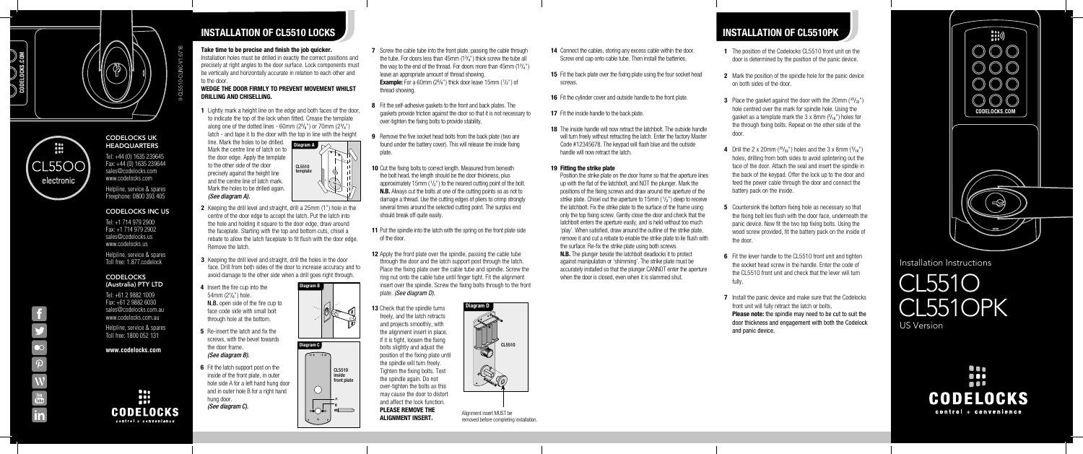1 Lightly mark a height line on the edge and both faces of the door, to indicate the top of the lock when fitted. Crease the template along one of the dotted lines - 60mm  $(2^3/\text{g}^n)$  or 70mm  $(2^3/\text{g}^n)$ latch - and tape it to the door with the top in line with the height

- 2 Keeping the drill level and straight, drill a 25mm (1") hole in the centre of the door edge to accept the latch. Put the latch into the hole and holding it square to the door edge, draw around the faceplate. Starting with the top and bottom cuts, chisel a rebate to allow the latch faceplate to fit flush with the door edge. Remove the latch.
- **3** Keeping the drill level and straight, drill the holes in the door face. Drill from both sides of the door to increase accuracy and to avoid damage to the other side when a drill goes right through.
- 4 Insert the fire cup into the 54mm (2<sup>1</sup> /8") hole. N.B. open side of the fire cup to face code side with small bolt through hole at the bottom.

- 5 Re-insert the latch and fix the screws, with the bevel towards the door frame. *(See diagram B).*
- **6** Fit the latch support post on the inside of the front plate, in outer hole side A for a left hand hung door and in outer hole B for a right hand hung door. *(See diagram C).*

*(See diagram A).*

### Take time to be precise and finish the job quicker.

Installation holes must be drilled in exactly the correct positions and precisely at right angles to the door surface. Lock components must be vertically and horizontally accurate in relation to each other and to the door.

### WEDGE THE DOOR FIRMLY TO PREVENT MOVEMENT WHILST DRILLING AND CHISELLING.

INSTALLATION OF CL5510 LOCKS



- **7** Screw the cable tube into the front plate, passing the cable through the tube. For doors less than  $45$ mm  $(1<sup>3</sup>/<sub>4</sub>)$  thick screw the tube all the way to the end of the thread. For doors more than  $45$ mm  $(1<sup>3</sup>/<sub>4</sub>")$ leave an appropriate amount of thread showing. **Example:** For a 60mm  $(2^3/s^n)$  thick door leave 15mm  $(1/z^n)$  of thread showing.
- 8 Fit the self-adhesive gaskets to the front and back plates. The gaskets provide friction against the door so that it is not necessary to over-tighten the fixing bolts to provide stability.
- 9 Remove the five socket head bolts from the back plate (two are found under the battery cover). This will release the inside fixing plate.
- 10 Cut the fixing bolts to correct length. Measured from beneath the bolt head, the length should be the door thickness, plus approximately 15mm  $(1/2)$  to the nearest cutting point of the bolt. **N.B.** Always cut the bolts at one of the cutting points so as not to damage a thread. Use the cutting edges of pliers to crimp strongly several times around the selected cutting point. The surplus end should break off quite easily.
- 11 Put the spindle into the latch with the spring on the front plate side of the door.
- 12 Apply the front plate over the spindle, passing the cable tube through the door and the latch support post through the latch. Place the fixing plate over the cable tube and spindle. Screw the ring nut onto the cable tube until finger tight. Fit the alignment insert over the spindle. Screw the fixing bolts through to the front plate. *(See diagram D).*
- 14 Connect the cables, storing any excess cable within the door. Screw end cap onto cable tube. Then install the batteries.
- **15** Fit the back plate over the fixing plate using the four socket head screws.
- 16 Fit the cylinder cover and outside handle to the front plate.
- 17 Fit the inside handle to the back plate.
- 18 The inside handle will now retract the latchbolt. The outside handle will turn freely without retracting the latch. Enter the factory Master Code #12345678. The keypad will flash blue and the outside handle will now retract the latch.

N.B. The plunger beside the latchbolt deadlocks it to protect against manipulation or 'shimming'. The strike plate must be accurately installed so that the plunger CANNOT enter the aperture when the door is closed, even when it is slammed shut.

- 
- 

13 Check that the spindle turns freely, and the latch retracts and projects smoothly, with the alignment insert in place. If it is tight, loosen the fixing bolts slightly and adjust the position of the fixing plate until the spindle will turn freely. Tighten the fixing bolts. Test the spindle again. Do not over-tighten the bolts as this may cause the door to distort and affect the lock function. PLEASE REMOVE THE

**FLEASE NEINIVE THE**<br>Alignment insert MUST be a substantial defense or analytics removed before completing installation. 1 The position of the Codelocks CL5510 front unit on the door is determined by the position of the panic device.

2 Mark the position of the spindle hole for the panic device on both sides of the door.

line. Mark the holes to be drilled. Mark the centre line of latch on to the door edge. Apply the template to the other side of the door precisely against the height line and the centre line of latch mark. Diagram A CL5510 template



**3** Place the gasket against the door with the 20mm  $(25/32)^n$ hole centred over the mark for spindle hole. Using the gasket as a template mark the 3 x 8mm (<sup>5</sup> /16") holes for the through fixing bolts. Repeat on the other side of the door.

**4** Drill the 2 x 20mm ( $^{25}/_{32}$ ") holes and the 3 x 8mm ( $^{5}/_{16}$ ") holes, drilling from both sides to avoid splintering out the face of the door. Attach the seal and insert the spindle in the back of the keypad. Offer the lock up to the door and feed the power cable through the door and connect the battery pack on the inside.

**5** Countersink the bottom fixing hole as necessary so that the fixing bolt lies flush with the door face, underneath the panic device. Now fit the two top fixing bolts. Using the wood screw provided, fit the battery pack on the inside of the door.

**7** Install the panic device and make sure that the Codelocks front unit will fully retract the latch or bolts.

Please note: the spindle may need to be cut to suit the door thickness and engagement with both the Codelock and panic device.

## CODELOCKS UK **HEADQUARTERS**

**CODELOCKS** (Australia) PTY LTD

#### 19 Fitting the strike plate

Position the strike plate on the door frame so that the aperture lines up with the flat of the latchbolt, and NOT the plunger. Mark the positions of the fixing screws and draw around the aperture of the strike plate. Chisel out the aperture to 15mm  $(1/2)$  deep to receive the latchbolt. Fix the strike plate to the surface of the frame using only the top fixing screw. Gently close the door and check that the latchbolt enters the aperture easily, and is held without too much 'play'. When satisfied, draw around the outline of the strike plate, remove it and cut a rebate to enable the strike plate to lie flush with the surface. Re-fix the strike plate using both screws.



70mm

# INSTALLATION OF CL5510PK

6 Fit the lever handle to the CL5510 front unit and tighten the socket head screw in the handle. Enter the code of the CL5510 front unit and check that the lever will turn fully.

Installation Instructions

Tel: +44 (0) 1635 239645 Fax: +44 (0) 1635 239644 sales@codelocks.com www.codelocks.com Helpline, service & spares Freephone: 0800 393 405

## CODELOCKS INC US

Tel: +1 714 979 2900 Fax: +1 714 979 2902 sales@codelocks.us www.codelocks.us

> CL551O CL551OPK US Version

> > Onn **000** A 8 8 **CODELOCKS** control + convenience

Helpline, service & spares Toll free: 1.877.codelock

Tel: +61 2 9882 1009 Fax: +61 2 9882 6030 sales@codelocks.com.au www.codelocks.com.au

Helpline, service & spares Toll free: 1800 052 131

**www.codelocks.com**







 $\mathbf{f}$ 

 $\bullet$ 

 $\boxed{\mathbf{p}}$ 

W

 $\frac{\gamma_{01}}{\text{tube}}$ 

 $\overline{\mathbf{in}}$